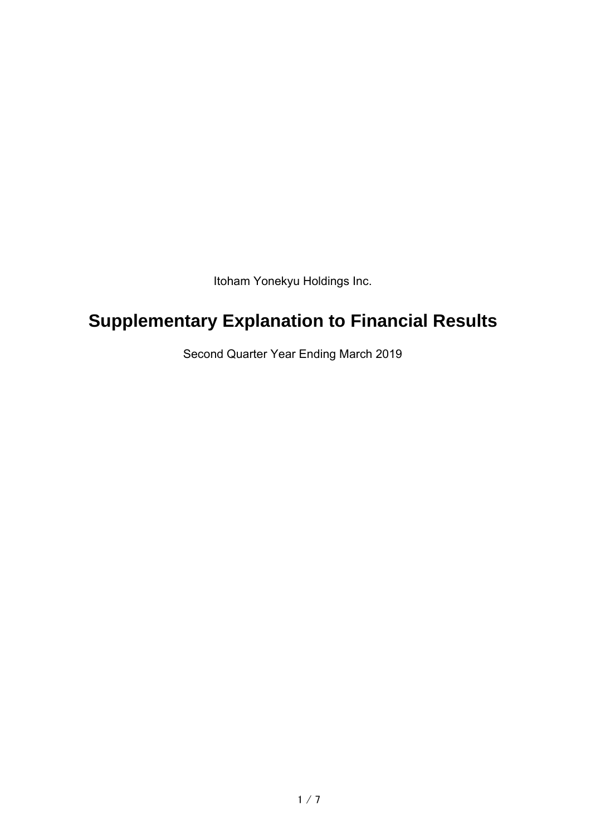Itoham Yonekyu Holdings Inc.

# **Supplementary Explanation to Financial Results**

Second Quarter Year Ending March 2019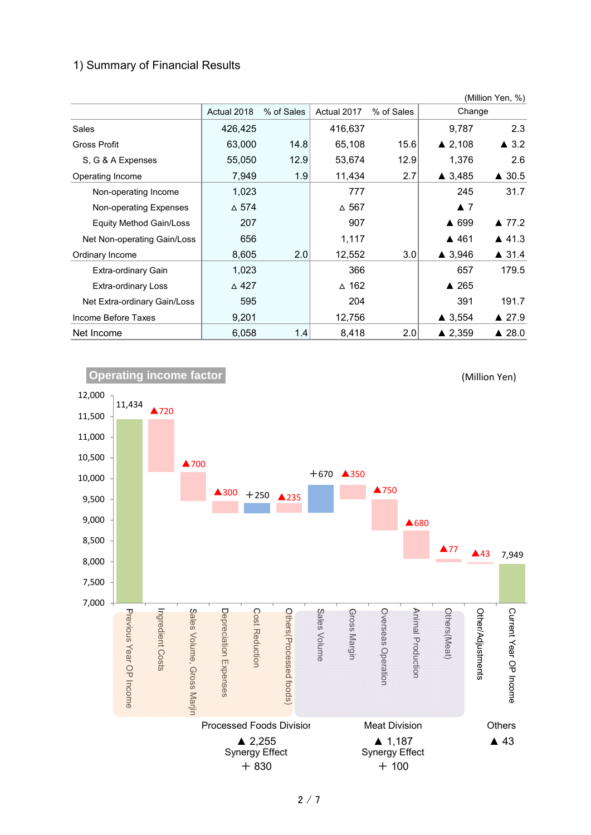# 1) Summary of Financial Results

|                                |                 |            |                 |            |                    | (Million Yen, %) |
|--------------------------------|-----------------|------------|-----------------|------------|--------------------|------------------|
|                                | Actual 2018     | % of Sales | Actual 2017     | % of Sales | Change             |                  |
| Sales                          | 426,425         |            | 416,637         |            | 9,787              | 2.3              |
| Gross Profit                   | 63,000          | 14.8       | 65,108          | 15.6       | $\triangle$ 2,108  | $\triangle$ 3.2  |
| S, G & A Expenses              | 55,050          | 12.9       | 53,674          | 12.9       | 1,376              | 2.6              |
| Operating Income               | 7,949           | 1.9        | 11,434          | 2.7        | ▲ 3,485            | $\triangle$ 30.5 |
| Non-operating Income           | 1,023           |            | 777             |            | 245                | 31.7             |
| Non-operating Expenses         | $\Delta$ 574    |            | $\Delta$ 567    |            | $\blacktriangle$ 7 |                  |
| <b>Equity Method Gain/Loss</b> | 207             |            | 907             |            | ▲ 699              | ▲ 77.2           |
| Net Non-operating Gain/Loss    | 656             |            | 1,117           |            | ▲ 461              | $\triangle$ 41.3 |
| Ordinary Income                | 8,605           | 2.0        | 12,552          | 3.0        | $\triangle$ 3,946  | $\triangle$ 31.4 |
| Extra-ordinary Gain            | 1,023           |            | 366             |            | 657                | 179.5            |
| <b>Extra-ordinary Loss</b>     | $\triangle$ 427 |            | $\triangle$ 162 |            | $\triangle$ 265    |                  |
| Net Extra-ordinary Gain/Loss   | 595             |            | 204             |            | 391                | 191.7            |
| Income Before Taxes            | 9,201           |            | 12,756          |            | $\triangle$ 3,554  | $\triangle$ 27.9 |
| Net Income                     | 6,058           | 1.4        | 8,418           | 2.0        | $\triangle$ 2,359  | ▲ 28.0           |



2 / 7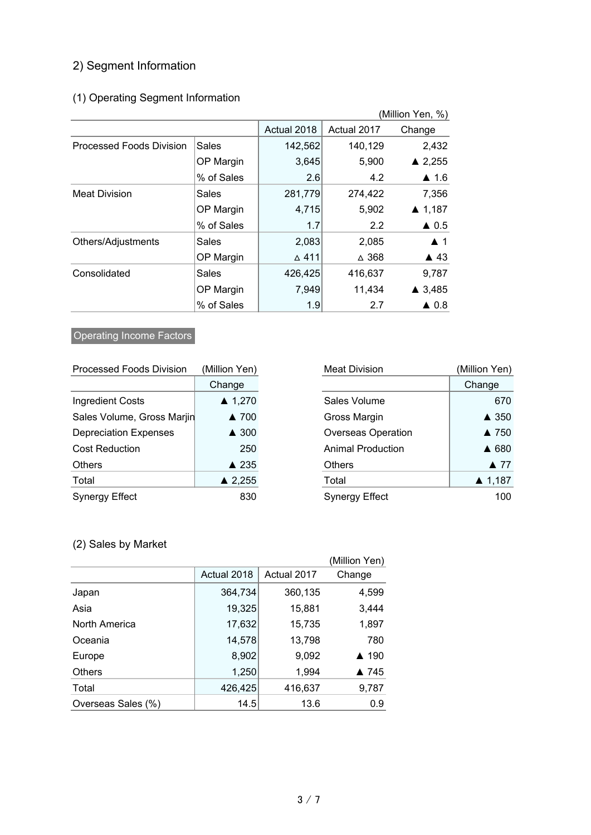# 2) Segment Information

# (1) Operating Segment Information

|                                 |              |                 |                 | (Million Yen, %)   |
|---------------------------------|--------------|-----------------|-----------------|--------------------|
|                                 |              | Actual 2018     | Actual 2017     | Change             |
| <b>Processed Foods Division</b> | <b>Sales</b> | 142,562         | 140,129         | 2,432              |
|                                 | OP Margin    | 3,645           | 5,900           | $\triangle$ 2,255  |
|                                 | % of Sales   | 2.6             | 4.2             | $\triangle$ 1.6    |
| <b>Meat Division</b>            | Sales        | 281,779         | 274,422         | 7,356              |
|                                 | OP Margin    | 4,715           | 5,902           | ▲ 1,187            |
|                                 | % of Sales   | 1.7             | 2.2             | $\triangle$ 0.5    |
| Others/Adjustments              | Sales        | 2,083           | 2,085           | $\blacktriangle$ 1 |
|                                 | OP Margin    | $\triangle$ 411 | $\triangle$ 368 | $\triangle$ 43     |
| Consolidated                    | Sales        | 426,425         | 416,637         | 9,787              |
|                                 | OP Margin    | 7,949           | 11,434          | ▲ 3,485            |
|                                 | % of Sales   | 1.9             | 2.7             | $\triangle$ 0.8    |

# **Operating Income Factors**

| <b>Processed Foods Division</b> | (Million Yen)     | <b>Meat Division</b>      | (Million Yen)  |
|---------------------------------|-------------------|---------------------------|----------------|
|                                 | Change            |                           | Change         |
| <b>Ingredient Costs</b>         | $\triangle$ 1,270 | Sales Volume              | 670            |
| Sales Volume, Gross Marjin      | ▲ 700             | Gross Margin              | ▲ 350          |
| <b>Depreciation Expenses</b>    | ▲ 300             | <b>Overseas Operation</b> | ▲ 750          |
| <b>Cost Reduction</b>           | 250               | <b>Animal Production</b>  | ▲ 680          |
| <b>Others</b>                   | ▲ 235             | <b>Others</b>             | $\triangle$ 77 |
| Total                           | $\triangle$ 2,255 | Total                     | ▲ 1,187        |
| <b>Synergy Effect</b>           | 830               | <b>Synergy Effect</b>     | 100            |

| <b>Processed Foods Division</b> | (Million Yen)     | <b>Meat Division</b>      | (Million Yen)       |
|---------------------------------|-------------------|---------------------------|---------------------|
|                                 | Change            |                           | Change              |
| <b>Ingredient Costs</b>         | $\triangle$ 1,270 | Sales Volume              | 670                 |
| Sales Volume, Gross Marjin      | ▲ 700             | Gross Margin              | ▲ 350               |
| <b>Depreciation Expenses</b>    | $\triangle$ 300   | <b>Overseas Operation</b> | ▲ 750               |
| <b>Cost Reduction</b>           | 250               | <b>Animal Production</b>  | ▲ 680               |
| Others                          | ▲ 235             | <b>Others</b>             | $\blacktriangle$ 77 |
| Total                           | $\triangle$ 2,255 | Total                     | $\triangle$ 1,187   |
| Synergy Effect                  | 830               | <b>Synergy Effect</b>     | 100                 |

# (2) Sales by Market

|                    |             |             | (Million Yen) |
|--------------------|-------------|-------------|---------------|
|                    | Actual 2018 | Actual 2017 | Change        |
| Japan              | 364,734     | 360,135     | 4,599         |
| Asia               | 19,325      | 15,881      | 3,444         |
| North America      | 17,632      | 15,735      | 1,897         |
| Oceania            | 14,578      | 13,798      | 780           |
| Europe             | 8,902       | 9,092       | ▲ 190         |
| <b>Others</b>      | 1,250       | 1,994       | ▲ 745         |
| Total              | 426,425     | 416,637     | 9,787         |
| Overseas Sales (%) | 14.5        | 13.6        | 0.9           |
|                    |             |             |               |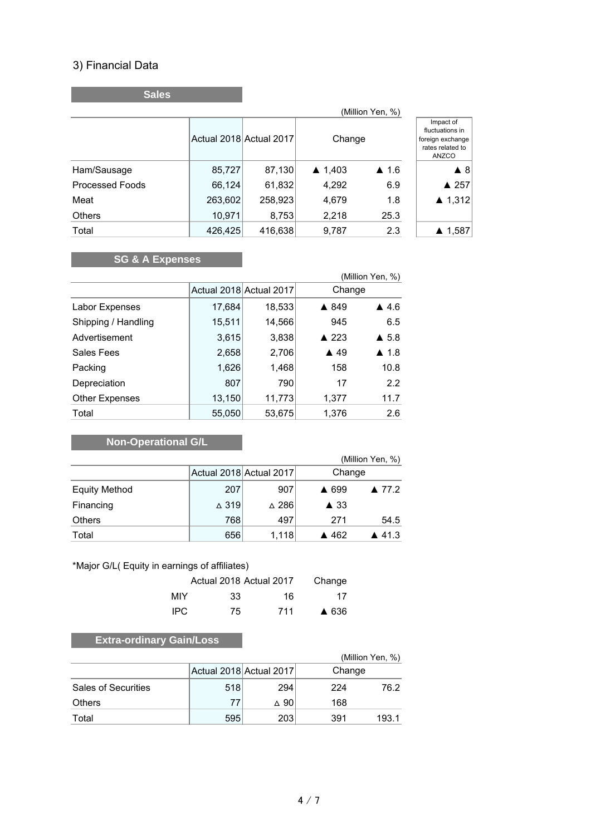# 3) Financial Data

**Sales**

| (Million Yen, %)       |         |                         |                   |                 |                                                                               |  |
|------------------------|---------|-------------------------|-------------------|-----------------|-------------------------------------------------------------------------------|--|
|                        |         | Actual 2018 Actual 2017 | Change            |                 | Impact of<br>fluctuations in<br>foreign exchange<br>rates related to<br>ANZCO |  |
| Ham/Sausage            | 85,727  | 87,130                  | $\triangle$ 1,403 | $\triangle$ 1.6 | $\blacktriangle$ 8                                                            |  |
| <b>Processed Foods</b> | 66,124  | 61,832                  | 4,292             | 6.9             | ▲ 257                                                                         |  |
| Meat                   | 263,602 | 258,923                 | 4,679             | 1.8             | ▲ 1,312                                                                       |  |
| Others                 | 10,971  | 8,753                   | 2,218             | 25.3            |                                                                               |  |
| Total                  | 426,425 | 416,638                 | 9,787             | 2.3             | ▲ 1,587                                                                       |  |

# **SG & A Expenses**

| (Million Yen, %)      |        |                         |                |                      |  |
|-----------------------|--------|-------------------------|----------------|----------------------|--|
|                       |        | Actual 2018 Actual 2017 | Change         |                      |  |
| Labor Expenses        | 17,684 | 18,533                  | ▲ 849          | $\triangle$ 4.6      |  |
| Shipping / Handling   | 15,511 | 14,566                  | 945            | 6.5                  |  |
| Advertisement         | 3,615  | 3,838                   | ▲ 223          | $\triangle$ 5.8      |  |
| Sales Fees            | 2,658  | 2,706                   | $\triangle$ 49 | $\blacktriangle$ 1.8 |  |
| Packing               | 1,626  | 1,468                   | 158            | 10.8                 |  |
| Depreciation          | 807    | 790                     | 17             | 2.2                  |  |
| <b>Other Expenses</b> | 13,150 | 11,773                  | 1,377          | 11.7                 |  |
| Total                 | 55,050 | 53,675                  | 1,376          | 2.6                  |  |

# **Non-Operational G/L**

|                      |                 |                         | (Million Yen, %)               |
|----------------------|-----------------|-------------------------|--------------------------------|
|                      |                 | Actual 2018 Actual 2017 | Change                         |
| <b>Equity Method</b> | 207             | 907                     | ▲ 699<br>▲ 77.2                |
| Financing            | $\triangle$ 319 | $\triangle$ 286         | $\triangle$ 33                 |
| <b>Others</b>        | 768             | 497                     | 271<br>54.5                    |
| Total                | 656             | 1,118                   | $\blacktriangle$ 41.3<br>▲ 462 |

#### \*Major G/L( Equity in earnings of affiliates)

|      | Actual 2018 Actual 2017 |     | Change |
|------|-------------------------|-----|--------|
| MIY. | 33                      | 16  | 17     |
| IPC. | 75                      | 711 | ▲ 636  |

# **Extra-ordinary Gain/Loss**

|                            |     |                         |        | (Million Yen, %) |
|----------------------------|-----|-------------------------|--------|------------------|
|                            |     | Actual 2018 Actual 2017 | Change |                  |
| <b>Sales of Securities</b> | 518 | 294                     | 224    | 76.2             |
| Others                     | 77  | $\Delta$ 90             | 168    |                  |
| Total                      | 595 | 203                     | 391    | 193.1            |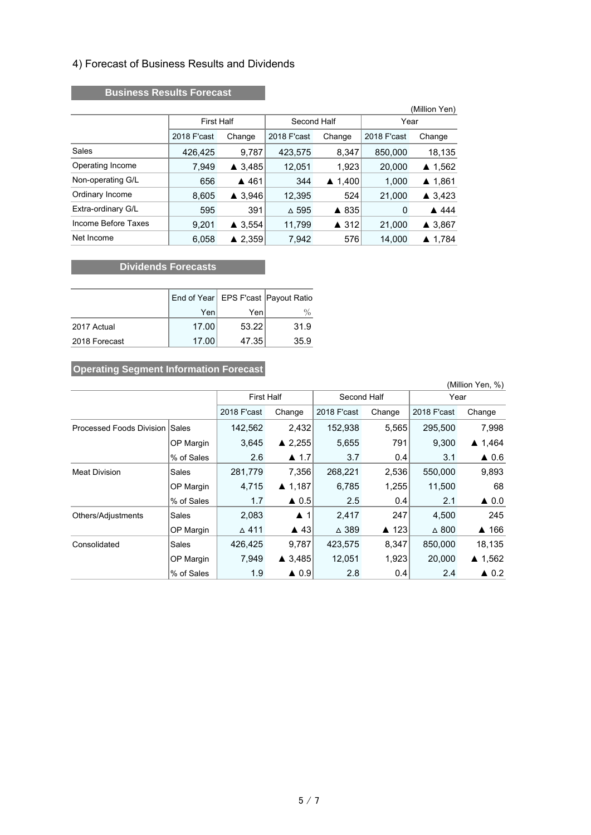#### 4) Forecast of Business Results and Dividends

#### **Business Results Forecast**

|                     |                   |                           |              |                   |             | (Million Yen) |  |
|---------------------|-------------------|---------------------------|--------------|-------------------|-------------|---------------|--|
|                     | <b>First Half</b> |                           | Second Half  |                   |             | Year          |  |
|                     | 2018 F'cast       | Change                    | 2018 F'cast  | Change            | 2018 F'cast | Change        |  |
| Sales               | 426,425           | 9,787                     | 423,575      | 8,347             | 850,000     | 18,135        |  |
| Operating Income    | 7,949             | $\triangle$ 3.485         | 12,051       | 1,923             | 20,000      | ▲ 1,562       |  |
| Non-operating G/L   | 656               | ▲ 461                     | 344          | $\triangle$ 1,400 | 1,000       | ▲ 1,861       |  |
| Ordinary Income     | 8,605             | 3,946<br>$\blacktriangle$ | 12,395       | 524               | 21,000      | ▲ 3,423       |  |
| Extra-ordinary G/L  | 595               | 391                       | $\Delta$ 595 | ▲ 835             | 0           | ▲ 444         |  |
| Income Before Taxes | 9,201             | $\triangle$ 3.554         | 11,799       | ▲ 312             | 21,000      | ▲ 3,867       |  |
| Net Income          | 6,058             | $\triangle$ 2,359         | 7,942        | 576               | 14,000      | ▲ 1,784       |  |

#### **CONSIDERED EXECUTES** Dividends Forecasts

|               |       |       | End of Year   EPS F'cast   Payout Ratio |
|---------------|-------|-------|-----------------------------------------|
|               | Yen   | Yen   | $\%$                                    |
| 2017 Actual   | 17.00 | 53.22 | 31.9                                    |
| 2018 Forecast | 17.00 | 47.35 | 35.9                                    |

# **Operating Segment Information Forecast**

| (Million Yen, %)                |            |                   |                      |                 |        |                 |                   |
|---------------------------------|------------|-------------------|----------------------|-----------------|--------|-----------------|-------------------|
|                                 |            | <b>First Half</b> |                      | Second Half     |        | Year            |                   |
|                                 |            | 2018 F'cast       | Change               | 2018 F'cast     | Change | 2018 F'cast     | Change            |
| <b>Processed Foods Division</b> | Sales      | 142,562           | 2,432                | 152,938         | 5,565  | 295,500         | 7,998             |
|                                 | OP Margin  | 3.645             | $\triangle$ 2.255    | 5,655           | 791    | 9,300           | $\triangle$ 1,464 |
|                                 | % of Sales | 2.6               | $\blacktriangle$ 1.7 | 3.7             | 0.4    | 3.1             | $\triangle$ 0.6   |
| <b>Meat Division</b>            | Sales      | 281,779           | 7,356                | 268,221         | 2,536  | 550,000         | 9,893             |
|                                 | OP Margin  | 4,715             | $\triangle$ 1,187    | 6,785           | 1,255  | 11,500          | 68                |
|                                 | % of Sales | 1.7               | $\triangle$ 0.5      | 2.5             | 0.4    | 2.1             | $\triangle$ 0.0   |
| Others/Adjustments              | Sales      | 2,083             | $\blacktriangle$ 1   | 2,417           | 247    | 4,500           | 245               |
|                                 | OP Margin  | $\triangle$ 411   | $\triangle$ 43       | $\triangle$ 389 | ▲ 123  | $\triangle$ 800 | ▲ 166             |
| Consolidated                    | Sales      | 426,425           | 9,787                | 423,575         | 8,347  | 850,000         | 18,135            |
|                                 | OP Margin  | 7,949             | $\triangle$ 3.485    | 12,051          | 1,923  | 20,000          | ▲ 1,562           |
|                                 | % of Sales | 1.9               | $\triangle$ 0.9      | 2.8             | 0.4    | 2.4             | $\triangle$ 0.2   |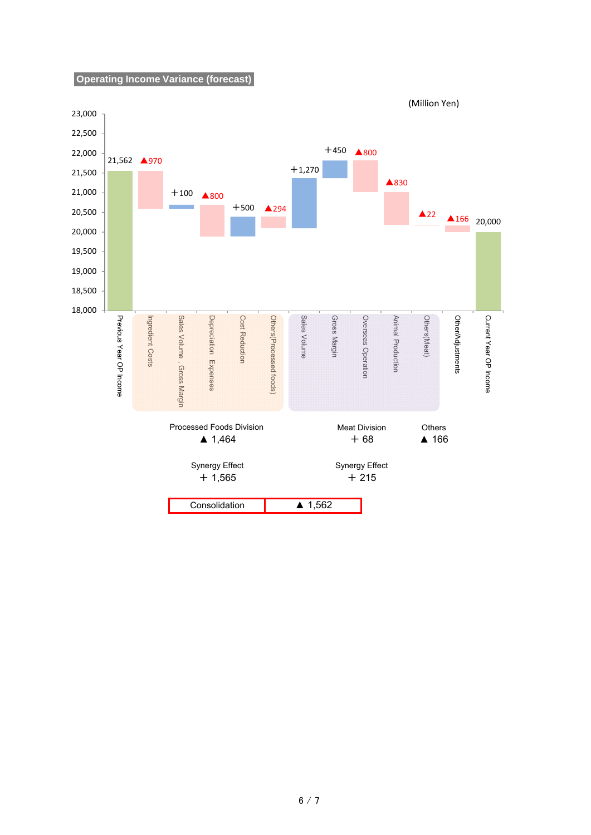**Operating Income Variance (forecast)**